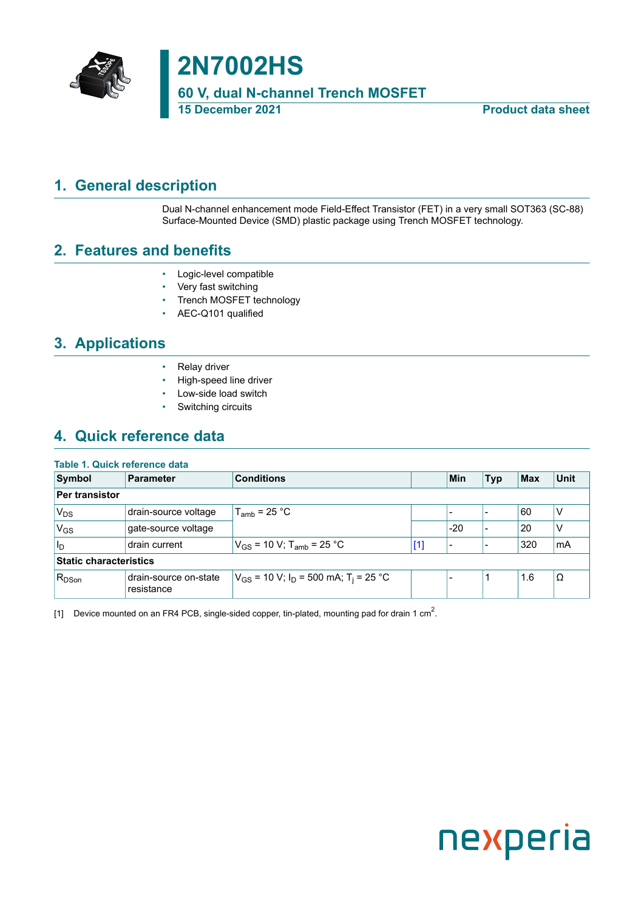

# **2N7002HS**

**60 V, dual N-channel Trench MOSFET**

**15 December 2021 Product data sheet**

### <span id="page-0-1"></span>**1. General description**

<span id="page-0-0"></span>Dual N-channel enhancement mode Field-Effect Transistor (FET) in a very small SOT363 (SC-88) Surface-Mounted Device (SMD) plastic package using Trench MOSFET technology.

### <span id="page-0-2"></span>**2. Features and benefits**

- Logic-level compatible
- Very fast switching
- Trench MOSFET technology
- AEC-Q101 qualified

### <span id="page-0-3"></span>**3. Applications**

- Relay driver
- High-speed line driver
- Low-side load switch
- Switching circuits

### <span id="page-0-4"></span>**4. Quick reference data**

### **Table 1. Quick reference data**

| TAME T. WUICK TUIGIUILUU UALA |                                     |                                                                  |       |       |                          |     |             |  |
|-------------------------------|-------------------------------------|------------------------------------------------------------------|-------|-------|--------------------------|-----|-------------|--|
| Symbol                        | <b>Parameter</b>                    | <b>Conditions</b>                                                |       | Min   | <b>Typ</b>               | Max | <b>Unit</b> |  |
| <b>Per transistor</b>         |                                     |                                                                  |       |       |                          |     |             |  |
| $V_{DS}$                      | drain-source voltage                | $T_{amb}$ = 25 °C                                                |       |       |                          | 60  | ν           |  |
| $V_{GS}$                      | gate-source voltage                 |                                                                  |       | $-20$ | $\overline{\phantom{a}}$ | 20  | ν           |  |
| l <sub>D</sub>                | drain current                       | $V_{GS}$ = 10 V; T <sub>amb</sub> = 25 °C                        | $[1]$ |       |                          | 320 | mA          |  |
| <b>Static characteristics</b> |                                     |                                                                  |       |       |                          |     |             |  |
| R <sub>DSon</sub>             | drain-source on-state<br>resistance | $V_{GS}$ = 10 V; I <sub>D</sub> = 500 mA; T <sub>i</sub> = 25 °C |       |       |                          | 1.6 | Ω           |  |

[1]  $\,$  Device mounted on an FR4 PCB, single-sided copper, tin-plated, mounting pad for drain 1 cm $^2$ .

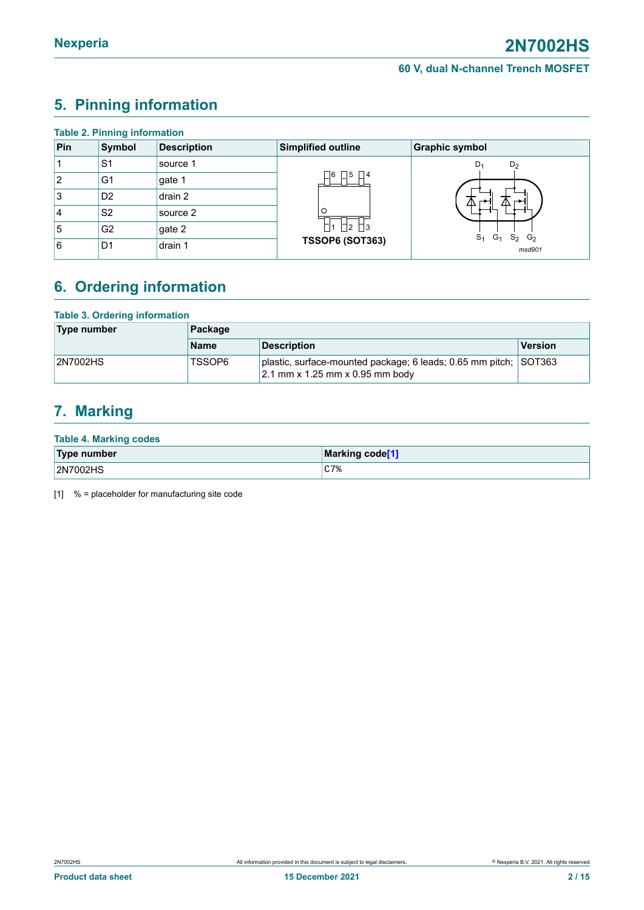## <span id="page-1-1"></span><span id="page-1-0"></span>**5. Pinning information**

| <b>Table 2. Pinning information</b> |                |                    |                        |                                                    |  |  |  |  |
|-------------------------------------|----------------|--------------------|------------------------|----------------------------------------------------|--|--|--|--|
| Pin                                 | Symbol         | <b>Description</b> | Simplified outline     | <b>Graphic symbol</b>                              |  |  |  |  |
|                                     | S <sub>1</sub> | source 1           |                        | D <sub>2</sub><br>D <sub>1</sub>                   |  |  |  |  |
| 2                                   | G1             | qate 1             | 15<br>-16<br>l 14      |                                                    |  |  |  |  |
| 3                                   | D <sub>2</sub> | drain 2            |                        |                                                    |  |  |  |  |
| 4                                   | S <sub>2</sub> | source 2           | C                      |                                                    |  |  |  |  |
| 5                                   | G <sub>2</sub> | gate 2             | П3<br>∃ا               | $S_1$<br>G <sub>1</sub><br>$S_2$<br>G <sub>2</sub> |  |  |  |  |
| l 6                                 | D <sub>1</sub> | drain 1            | <b>TSSOP6 (SOT363)</b> | msd901                                             |  |  |  |  |

## <span id="page-1-2"></span>**6. Ordering information**

| <b>Table 3. Ordering information</b> |             |                                                                                                       |         |  |  |  |
|--------------------------------------|-------------|-------------------------------------------------------------------------------------------------------|---------|--|--|--|
| Type number                          | Package     |                                                                                                       |         |  |  |  |
|                                      | <b>Name</b> | <b>Description</b>                                                                                    | Version |  |  |  |
| 2N7002HS                             | TSSOP6      | plastic, surface-mounted package; 6 leads; 0.65 mm pitch; SOT363<br>$2.1$ mm x 1.25 mm x 0.95 mm body |         |  |  |  |

## <span id="page-1-3"></span>**7. Marking**

### **Table 4. Marking codes**

| Type number | Marking code <sup>[1]</sup> |
|-------------|-----------------------------|
| 2N7002HS    | $C7$ %                      |

[1] % = placeholder for manufacturing site code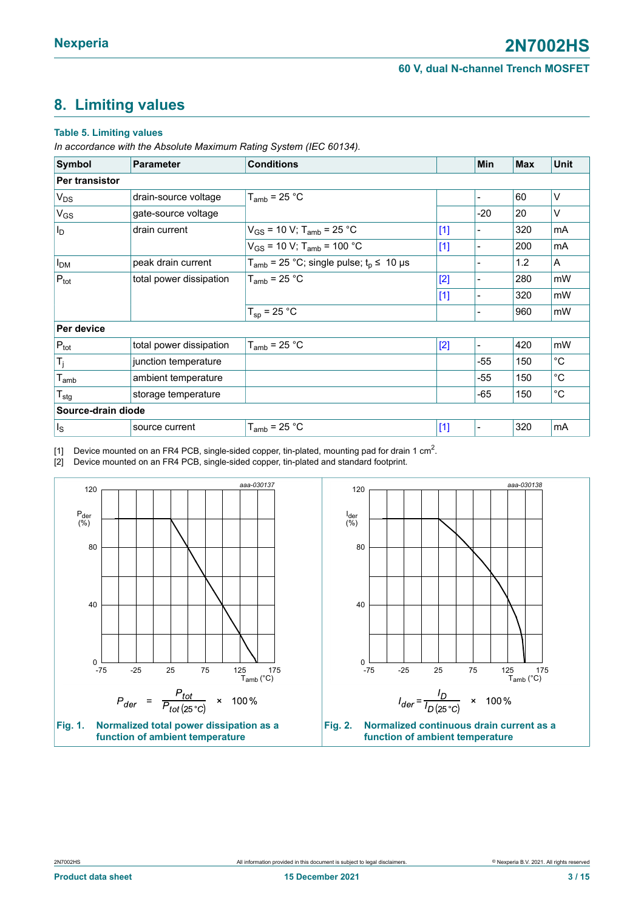### <span id="page-2-1"></span><span id="page-2-0"></span>**8. Limiting values**

#### **Table 5. Limiting values**

*In accordance with the Absolute Maximum Rating System (IEC 60134).*

| <b>Symbol</b>               | <b>Parameter</b>        | <b>Conditions</b>                              |       | <b>Min</b>               | <b>Max</b> | <b>Unit</b> |
|-----------------------------|-------------------------|------------------------------------------------|-------|--------------------------|------------|-------------|
| <b>Per transistor</b>       |                         |                                                |       |                          |            |             |
| $V_{DS}$                    | drain-source voltage    | $T_{amb}$ = 25 °C                              |       |                          | 60         | V           |
| $V_{GS}$                    | gate-source voltage     |                                                |       | $-20$                    | 20         | V           |
| I <sub>D</sub>              | drain current           | $V_{GS}$ = 10 V; T <sub>amb</sub> = 25 °C      | $[1]$ |                          | 320        | mA          |
|                             |                         | $V_{GS}$ = 10 V; T <sub>amb</sub> = 100 °C     | $[1]$ | $\overline{\phantom{0}}$ | 200        | mA          |
| $I_{DM}$                    | peak drain current      | $T_{amb}$ = 25 °C; single pulse; $t_p$ ≤ 10 µs |       |                          | 1.2        | A           |
| $P_{\text{tot}}$            | total power dissipation | $T_{amb}$ = 25 °C                              | $[2]$ |                          | 280        | mW          |
|                             |                         |                                                | $[1]$ |                          | 320        | mW          |
|                             |                         | $T_{\text{sp}}$ = 25 °C                        |       |                          | 960        | mW          |
| Per device                  |                         |                                                |       |                          |            |             |
| $P_{\text{tot}}$            | total power dissipation | $T_{amb}$ = 25 °C                              | [2]   | $\overline{\phantom{0}}$ | 420        | mW          |
| $T_j$                       | junction temperature    |                                                |       | -55                      | 150        | °C          |
| $\mathsf{T}_{\mathsf{amb}}$ | ambient temperature     |                                                |       | -55                      | 150        | °C          |
| $T_{\text{stg}}$            | storage temperature     |                                                |       | -65                      | 150        | °C          |
| Source-drain diode          |                         |                                                |       |                          |            |             |
| $I_{\rm S}$                 | source current          | $T_{amb}$ = 25 °C                              | $[1]$ |                          | 320        | mA          |

[1]  $\,$  Device mounted on an FR4 PCB, single-sided copper, tin-plated, mounting pad for drain 1 cm $^2$ .

[2] Device mounted on an FR4 PCB, single-sided copper, tin-plated and standard footprint.



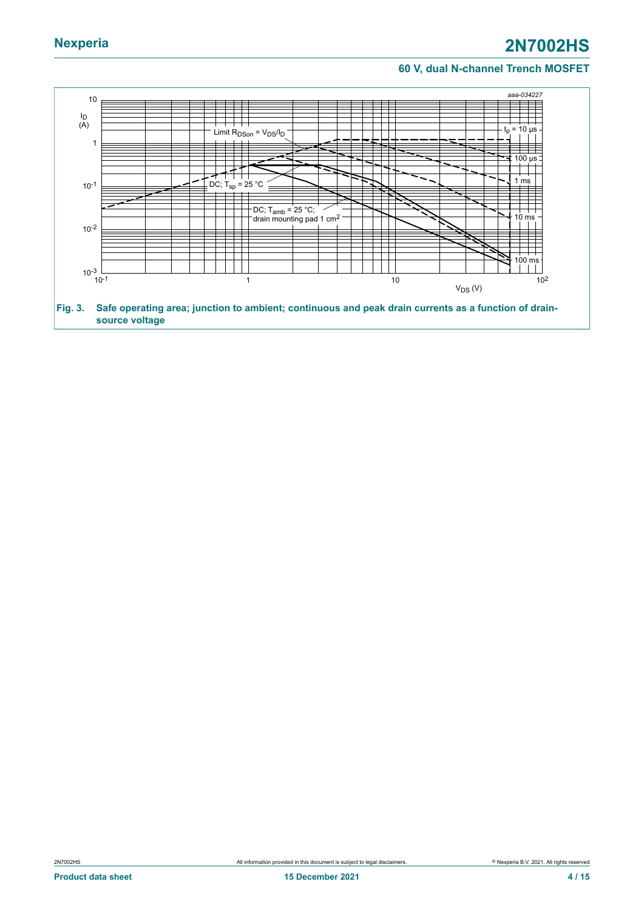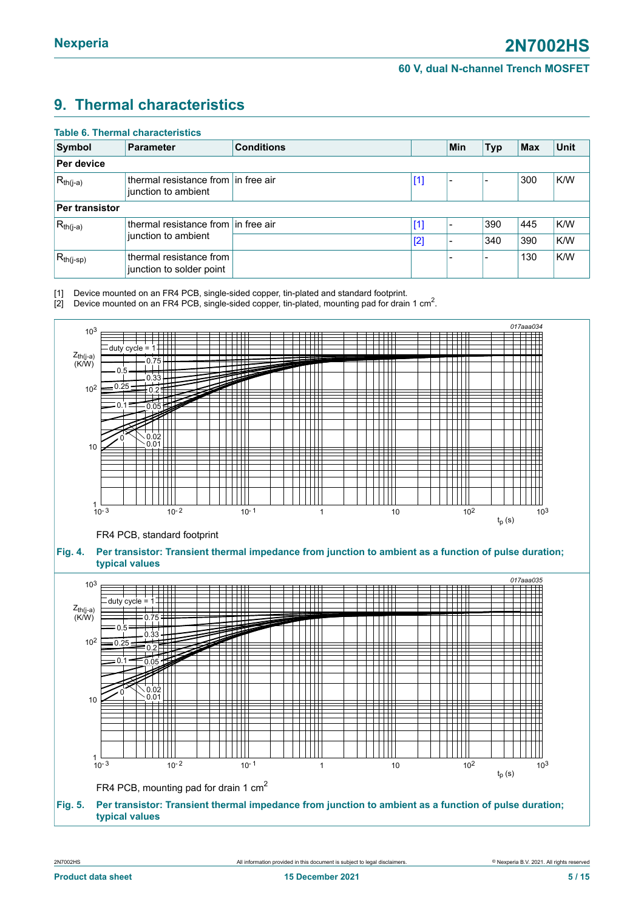## <span id="page-4-1"></span><span id="page-4-0"></span>**9. Thermal characteristics**

#### **Table 6. Thermal characteristics**

| Symbol                | <b>Parameter</b>                                           | <b>Conditions</b> |       | Min | <b>Typ</b> | Max | Unit |  |
|-----------------------|------------------------------------------------------------|-------------------|-------|-----|------------|-----|------|--|
| Per device            |                                                            |                   |       |     |            |     |      |  |
| $R_{th(j-a)}$         | thermal resistance from in free air<br>junction to ambient |                   | $[1]$ |     |            | 300 | K/W  |  |
| <b>Per transistor</b> |                                                            |                   |       |     |            |     |      |  |
| $R_{th(i-a)}$         | thermal resistance from in free air<br>junction to ambient |                   | $[1]$ |     | 390        | 445 | K/W  |  |
|                       |                                                            |                   | [2]   |     | 340        | 390 | K/W  |  |
| $R_{th(j-sp)}$        | thermal resistance from<br>junction to solder point        |                   |       |     |            | 130 | K/W  |  |

[1] Device mounted on an FR4 PCB, single-sided copper, tin-plated and standard footprint.

[2] Device mounted on an FR4 PCB, single-sided copper, tin-plated, mounting pad for drain 1 cm<sup>2</sup>.



FR4 PCB, standard footprint



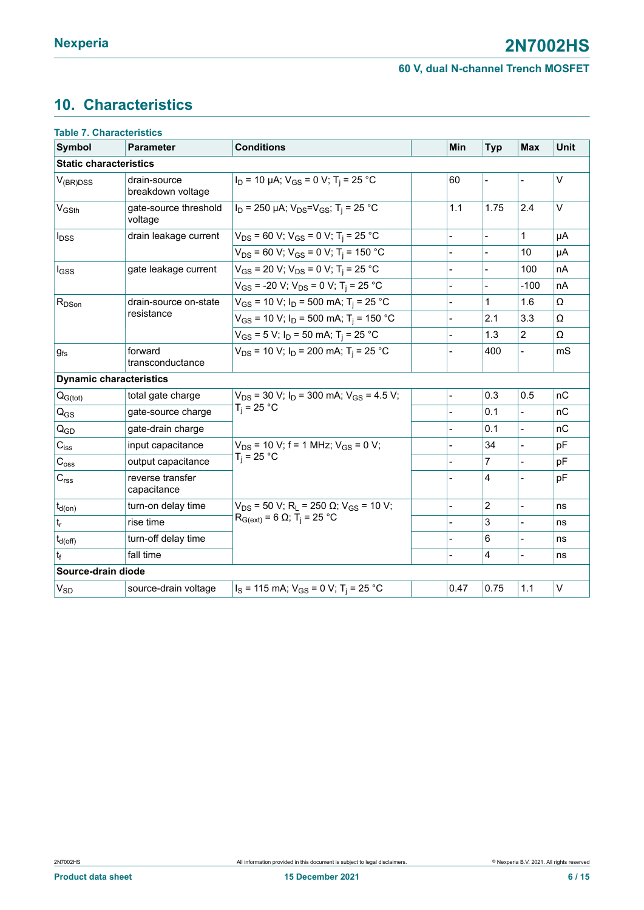## <span id="page-5-0"></span>**10. Characteristics**

| <b>Table 7. Characteristics</b> |                                   |                                                                          |                |                |                          |             |
|---------------------------------|-----------------------------------|--------------------------------------------------------------------------|----------------|----------------|--------------------------|-------------|
| Symbol                          | <b>Parameter</b>                  | <b>Conditions</b>                                                        | Min            | <b>Typ</b>     | <b>Max</b>               | <b>Unit</b> |
| <b>Static characteristics</b>   |                                   |                                                                          |                |                |                          |             |
| $V_{(BR)DSS}$                   | drain-source<br>breakdown voltage | $I_D$ = 10 µA; $V_{GS}$ = 0 V; T <sub>i</sub> = 25 °C                    | 60             | $\overline{a}$ |                          | V           |
| $V_{\text{GSth}}$               | gate-source threshold<br>voltage  | $I_D$ = 250 µA; $V_{DS} = V_{GS}$ ; T <sub>i</sub> = 25 °C               | 1.1            | 1.75           | 2.4                      | V           |
| $I_{DSS}$                       | drain leakage current             | $V_{DS}$ = 60 V; V <sub>GS</sub> = 0 V; T <sub>i</sub> = 25 °C           |                |                | 1                        | μA          |
|                                 |                                   | $V_{DS}$ = 60 V; V <sub>GS</sub> = 0 V; T <sub>i</sub> = 150 °C          |                |                | 10                       | μA          |
| l <sub>GSS</sub>                | gate leakage current              | $V_{GS}$ = 20 V; $V_{DS}$ = 0 V; T <sub>i</sub> = 25 °C                  |                | $\overline{a}$ | 100                      | nA          |
|                                 |                                   | $V_{GS}$ = -20 V; $V_{DS}$ = 0 V; T <sub>i</sub> = 25 °C                 |                |                | $-100$                   | nA          |
| $R_{DSon}$                      | drain-source on-state             | $V_{GS}$ = 10 V; $I_D$ = 500 mA; T <sub>i</sub> = 25 °C                  |                | 1              | 1.6                      | Ω           |
|                                 | resistance                        | $V_{GS}$ = 10 V; I <sub>D</sub> = 500 mA; T <sub>i</sub> = 150 °C        |                | 2.1            | 3.3                      | Ω           |
|                                 |                                   | $V_{GS}$ = 5 V; $I_D$ = 50 mA; T <sub>i</sub> = 25 °C                    |                | 1.3            | $\overline{2}$           | Ω           |
| $g_{fs}$                        | forward<br>transconductance       | $V_{DS}$ = 10 V; $I_D$ = 200 mA; T <sub>i</sub> = 25 °C                  |                | 400            |                          | mS          |
|                                 | <b>Dynamic characteristics</b>    |                                                                          |                |                |                          |             |
| $Q_{G(tot)}$                    | total gate charge                 | $V_{DS}$ = 30 V; $I_D$ = 300 mA; $V_{GS}$ = 4.5 V;                       | $\overline{a}$ | 0.3            | 0.5                      | nC          |
| $Q_{GS}$                        | gate-source charge                | $T_i = 25 °C$                                                            |                | 0.1            |                          | nC          |
| $Q_{GD}$                        | gate-drain charge                 |                                                                          |                | 0.1            | $\overline{a}$           | nC          |
| $C_{iss}$                       | input capacitance                 | $V_{DS}$ = 10 V; f = 1 MHz; $V_{GS}$ = 0 V;                              |                | 34             |                          | pF          |
| $C_{\rm oss}$                   | output capacitance                | $T_i = 25 °C$                                                            |                | 7              |                          | pF          |
| C <sub>rss</sub>                | reverse transfer<br>capacitance   |                                                                          |                | 4              |                          | pF          |
| $t_{d(on)}$                     | turn-on delay time                | $V_{DS}$ = 50 V; R <sub>1</sub> = 250 $\Omega$ ; V <sub>GS</sub> = 10 V; | $\overline{a}$ | $\overline{c}$ | $\overline{\phantom{a}}$ | ns          |
| $\mathfrak{t}_\mathsf{r}$       | rise time                         | $R_{G(ext)} = 6 \Omega$ ; T <sub>i</sub> = 25 °C                         |                | 3              |                          | ns          |
| $t_{d(\text{off})}$             | turn-off delay time               |                                                                          |                | 6              |                          | ns          |
| tғ                              | fall time                         |                                                                          |                | 4              | $\overline{a}$           | ns          |
| Source-drain diode              |                                   |                                                                          |                |                |                          |             |
| $V_{SD}$                        | source-drain voltage              | $I_S$ = 115 mA; $V_{GS}$ = 0 V; T <sub>i</sub> = 25 °C                   | 0.47           | 0.75           | 1.1                      | V           |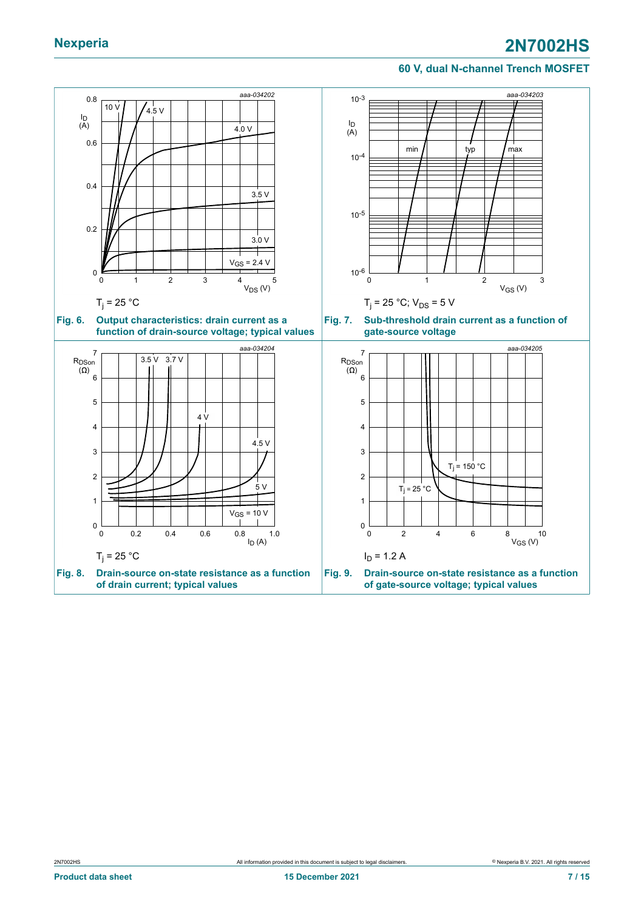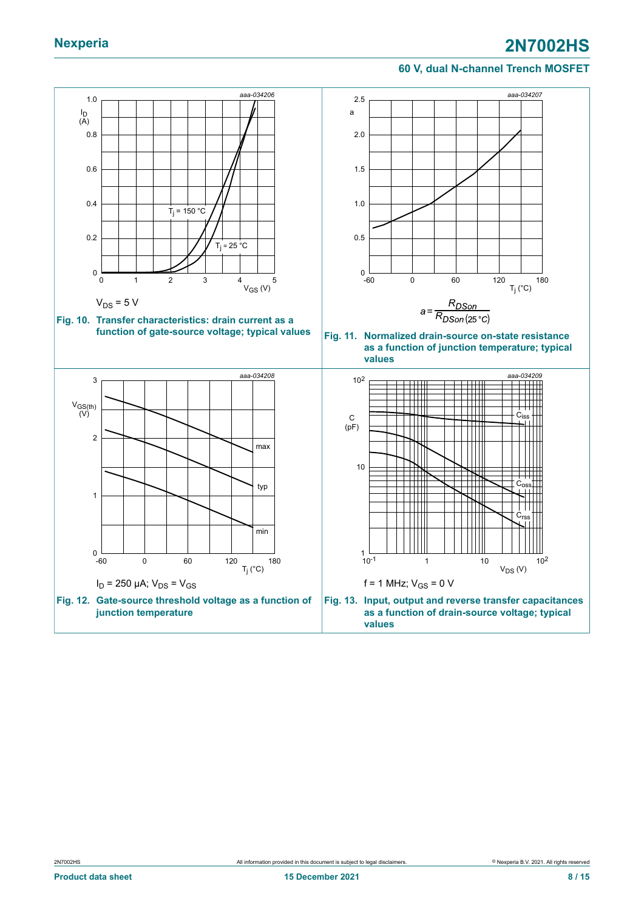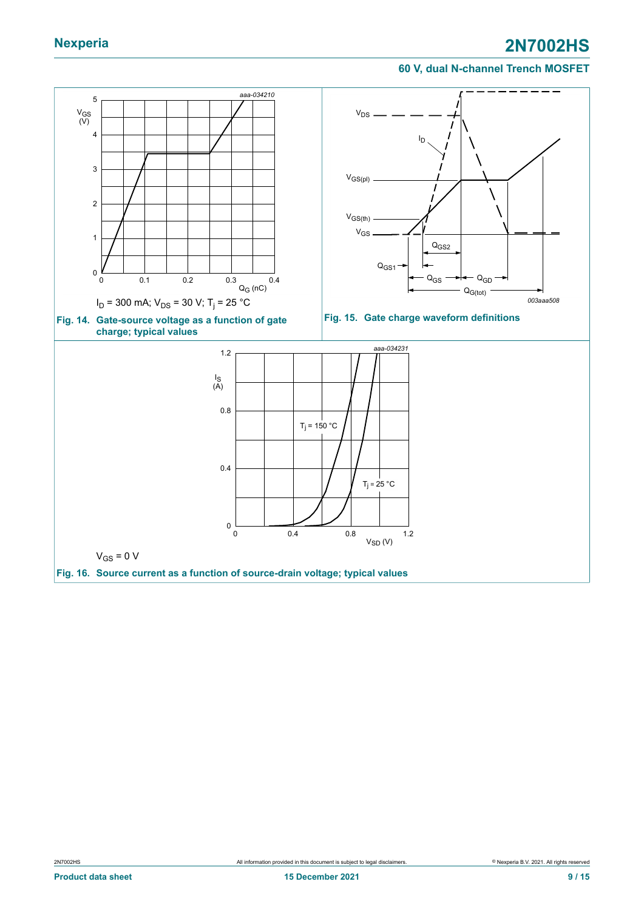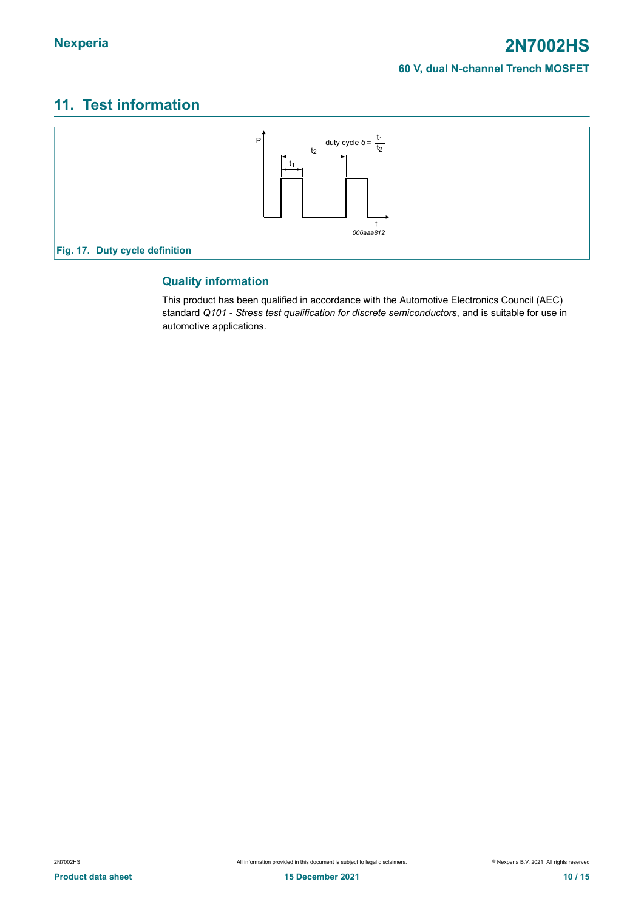## <span id="page-9-0"></span>**11. Test information**



### **Quality information**

This product has been qualified in accordance with the Automotive Electronics Council (AEC) standard *Q101 - Stress test qualification for discrete semiconductors*, and is suitable for use in automotive applications.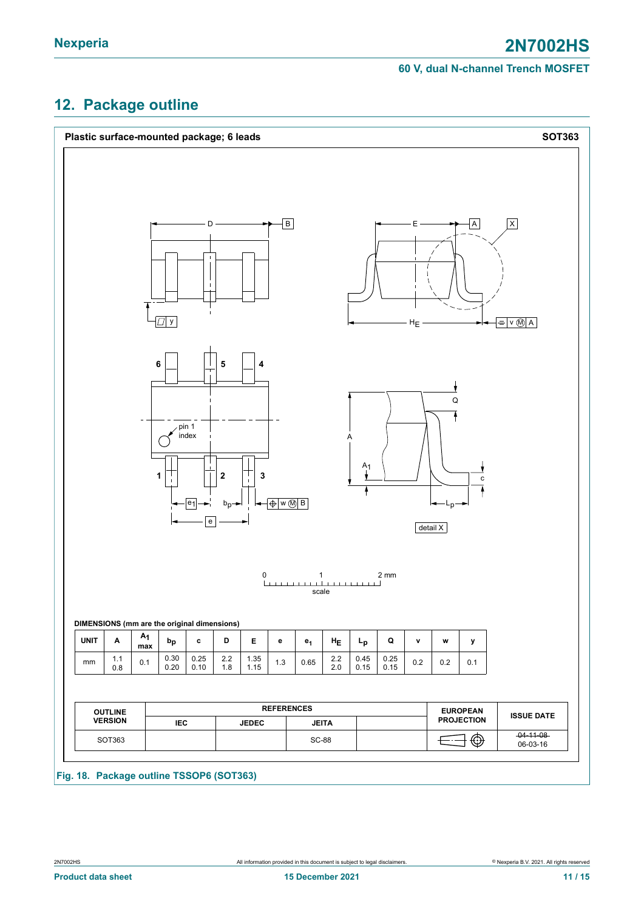## <span id="page-10-0"></span>**12. Package outline**

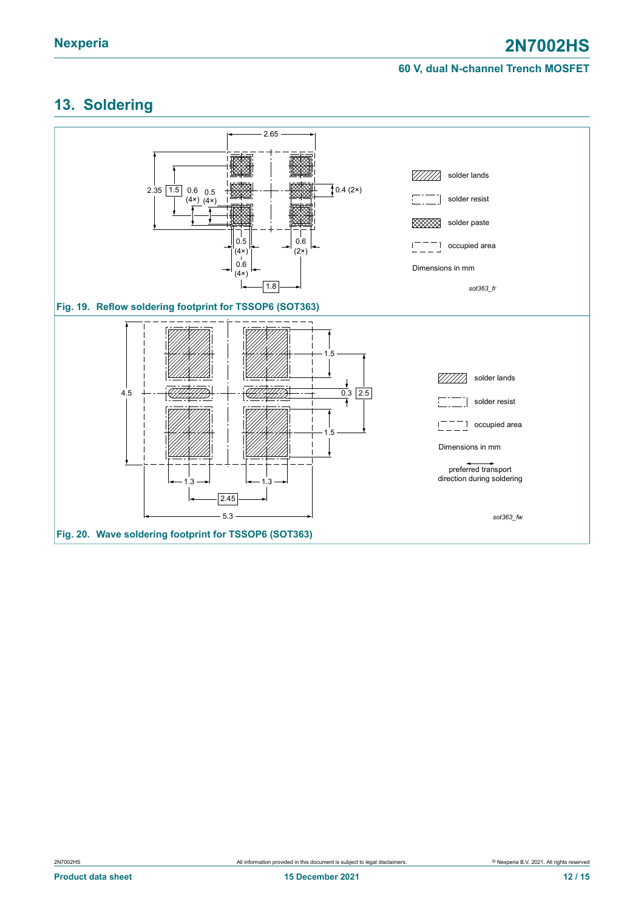## <span id="page-11-0"></span>**13. Soldering**

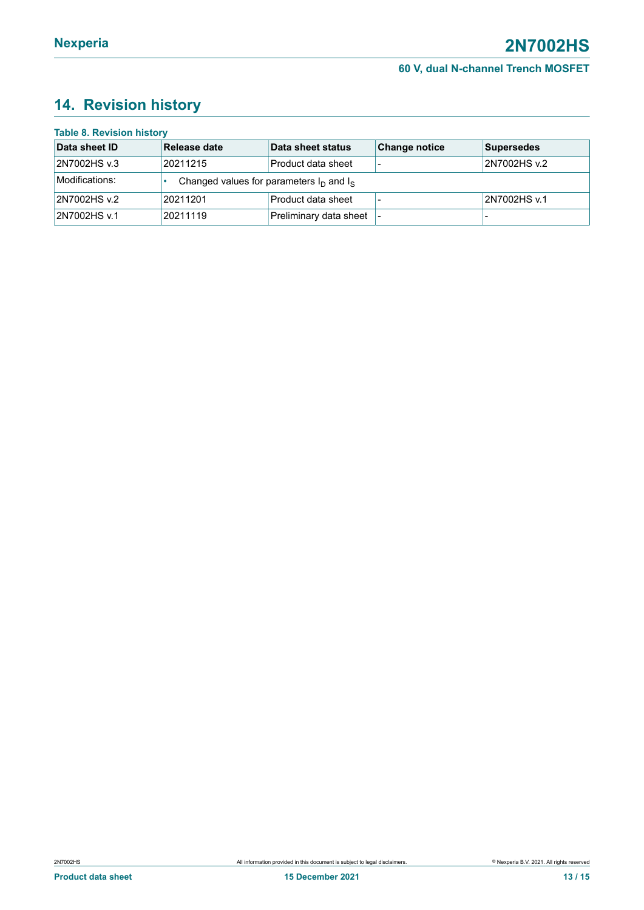## <span id="page-12-0"></span>**14. Revision history**

| <b>Table 8. Revision history</b> |                                               |                        |                          |              |  |  |
|----------------------------------|-----------------------------------------------|------------------------|--------------------------|--------------|--|--|
| Data sheet ID                    | Release date                                  | Data sheet status      | <b>Change notice</b>     | Supersedes   |  |  |
| 2N7002HS v.3                     | 20211215                                      | Product data sheet     |                          | 2N7002HS v.2 |  |  |
| Modifications:                   | Changed values for parameters $I_D$ and $I_S$ |                        |                          |              |  |  |
| 2N7002HS v.2                     | 20211201                                      | Product data sheet     | $\overline{\phantom{0}}$ | 2N7002HS v.1 |  |  |
| 2N7002HS v.1                     | 20211119                                      | Preliminary data sheet | $\overline{\phantom{a}}$ |              |  |  |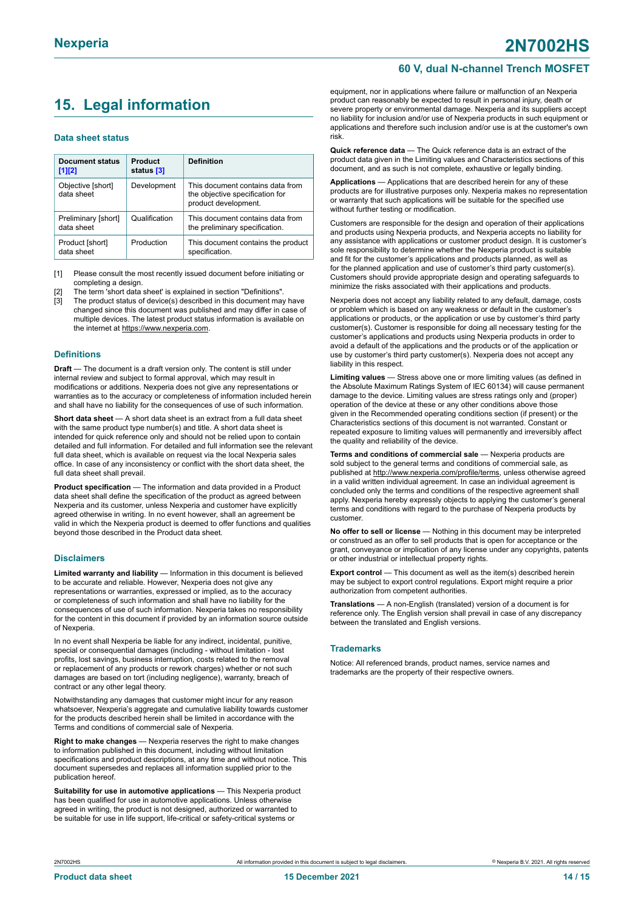## <span id="page-13-0"></span>**15. Legal information**

#### **Data sheet status**

| Document status<br>$[1]$ [2]      | <b>Product</b><br>status [3] | <b>Definition</b>                                                                           |
|-----------------------------------|------------------------------|---------------------------------------------------------------------------------------------|
| Objective [short]<br>data sheet   | Development                  | This document contains data from<br>the objective specification for<br>product development. |
| Preliminary [short]<br>data sheet | Qualification                | This document contains data from<br>the preliminary specification.                          |
| Product [short]<br>data sheet     | Production                   | This document contains the product<br>specification.                                        |

[1] Please consult the most recently issued document before initiating or completing a design.

The term 'short data sheet' is explained in section "Definitions".

[3] The product status of device(s) described in this document may have changed since this document was published and may differ in case of multiple devices. The latest product status information is available on the internet at [https://www.nexperia.com.](https://www.nexperia.com)

#### **Definitions**

**Draft** — The document is a draft version only. The content is still under internal review and subject to formal approval, which may result in modifications or additions. Nexperia does not give any representations or warranties as to the accuracy or completeness of information included herein and shall have no liability for the consequences of use of such information.

**Short data sheet** — A short data sheet is an extract from a full data sheet with the same product type number(s) and title. A short data sheet is intended for quick reference only and should not be relied upon to contain detailed and full information. For detailed and full information see the relevant full data sheet, which is available on request via the local Nexperia sales office. In case of any inconsistency or conflict with the short data sheet, the full data sheet shall prevail.

**Product specification** — The information and data provided in a Product data sheet shall define the specification of the product as agreed between Nexperia and its customer, unless Nexperia and customer have explicitly agreed otherwise in writing. In no event however, shall an agreement be valid in which the Nexperia product is deemed to offer functions and qualities beyond those described in the Product data sheet.

#### **Disclaimers**

**Limited warranty and liability** — Information in this document is believed to be accurate and reliable. However, Nexperia does not give any representations or warranties, expressed or implied, as to the accuracy or completeness of such information and shall have no liability for the consequences of use of such information. Nexperia takes no responsibility for the content in this document if provided by an information source outside of Nexperia.

In no event shall Nexperia be liable for any indirect, incidental, punitive, special or consequential damages (including - without limitation - lost profits, lost savings, business interruption, costs related to the removal or replacement of any products or rework charges) whether or not such damages are based on tort (including negligence), warranty, breach of contract or any other legal theory.

Notwithstanding any damages that customer might incur for any reason whatsoever, Nexperia's aggregate and cumulative liability towards customer for the products described herein shall be limited in accordance with the Terms and conditions of commercial sale of Nexperia.

**Right to make changes** — Nexperia reserves the right to make changes to information published in this document, including without limitation specifications and product descriptions, at any time and without notice. This document supersedes and replaces all information supplied prior to the publication hereof

**Suitability for use in automotive applications** — This Nexperia product has been qualified for use in automotive applications. Unless otherwise agreed in writing, the product is not designed, authorized or warranted to be suitable for use in life support, life-critical or safety-critical systems or

### **60 V, dual N-channel Trench MOSFET**

equipment, nor in applications where failure or malfunction of an Nexperia product can reasonably be expected to result in personal injury, death or severe property or environmental damage. Nexperia and its suppliers accept no liability for inclusion and/or use of Nexperia products in such equipment or applications and therefore such inclusion and/or use is at the customer's own risk.

**Quick reference data** — The Quick reference data is an extract of the product data given in the Limiting values and Characteristics sections of this document, and as such is not complete, exhaustive or legally binding.

**Applications** — Applications that are described herein for any of these products are for illustrative purposes only. Nexperia makes no representation or warranty that such applications will be suitable for the specified use without further testing or modification.

Customers are responsible for the design and operation of their applications and products using Nexperia products, and Nexperia accepts no liability for any assistance with applications or customer product design. It is customer's sole responsibility to determine whether the Nexperia product is suitable and fit for the customer's applications and products planned, as well as for the planned application and use of customer's third party customer(s). Customers should provide appropriate design and operating safeguards to minimize the risks associated with their applications and products.

Nexperia does not accept any liability related to any default, damage, costs or problem which is based on any weakness or default in the customer's applications or products, or the application or use by customer's third party customer(s). Customer is responsible for doing all necessary testing for the customer's applications and products using Nexperia products in order to avoid a default of the applications and the products or of the application or use by customer's third party customer(s). Nexperia does not accept any liability in this respect.

**Limiting values** — Stress above one or more limiting values (as defined in the Absolute Maximum Ratings System of IEC 60134) will cause permanent damage to the device. Limiting values are stress ratings only and (proper) operation of the device at these or any other conditions above those given in the Recommended operating conditions section (if present) or the Characteristics sections of this document is not warranted. Constant or repeated exposure to limiting values will permanently and irreversibly affect the quality and reliability of the device.

**Terms and conditions of commercial sale** — Nexperia products are sold subject to the general terms and conditions of commercial sale, as published at [http://www.nexperia.com/profile/terms,](http://www.nexperia.com/profile/terms) unless otherwise agreed in a valid written individual agreement. In case an individual agreement is concluded only the terms and conditions of the respective agreement shall apply. Nexperia hereby expressly objects to applying the customer's general terms and conditions with regard to the purchase of Nexperia products by customer.

**No offer to sell or license** — Nothing in this document may be interpreted or construed as an offer to sell products that is open for acceptance or the grant, conveyance or implication of any license under any copyrights, patents or other industrial or intellectual property rights.

**Export control** — This document as well as the item(s) described herein may be subject to export control regulations. Export might require a prior authorization from competent authorities.

**Translations** — A non-English (translated) version of a document is for reference only. The English version shall prevail in case of any discrepancy between the translated and English versions.

#### **Trademarks**

Notice: All referenced brands, product names, service names and trademarks are the property of their respective owners.